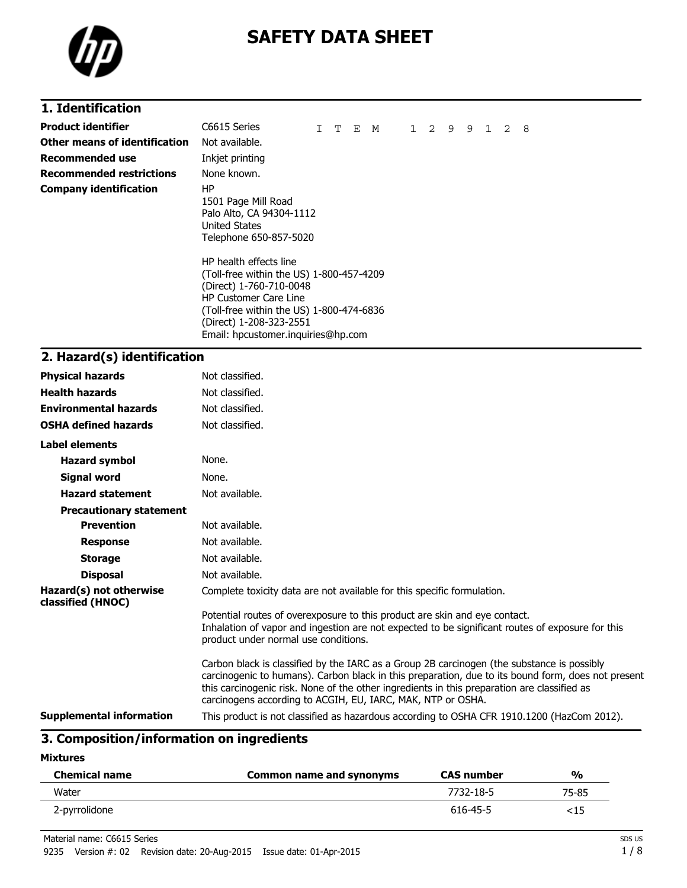

# **SAFETY DATA SHEET**

## **1. Identification**

| Product identifier            | C6615 Series                                                                                                                                                                                                                                                                                                                                          | T | E M | $1 \quad$ | 2 | 9 | 9 | $\mathbf{1}$ | 2 | - 8 |  |
|-------------------------------|-------------------------------------------------------------------------------------------------------------------------------------------------------------------------------------------------------------------------------------------------------------------------------------------------------------------------------------------------------|---|-----|-----------|---|---|---|--------------|---|-----|--|
| Other means of identification | Not available.                                                                                                                                                                                                                                                                                                                                        |   |     |           |   |   |   |              |   |     |  |
| Recommended use               | Inkjet printing                                                                                                                                                                                                                                                                                                                                       |   |     |           |   |   |   |              |   |     |  |
| Recommended restrictions      | None known.                                                                                                                                                                                                                                                                                                                                           |   |     |           |   |   |   |              |   |     |  |
| Company identification        | ΗP<br>1501 Page Mill Road<br>Palo Alto, CA 94304-1112<br><b>United States</b><br>Telephone 650-857-5020<br>HP health effects line<br>(Toll-free within the US) 1-800-457-4209<br>(Direct) 1-760-710-0048<br><b>HP Customer Care Line</b><br>(Toll-free within the US) 1-800-474-6836<br>(Direct) 1-208-323-2551<br>Email: hpcustomer.inguiries@hp.com |   |     |           |   |   |   |              |   |     |  |

#### **2. Hazard(s) identification**

| <b>Physical hazards</b>                      | Not classified.                                                                                                                                                                                                                                                                                                                                                |
|----------------------------------------------|----------------------------------------------------------------------------------------------------------------------------------------------------------------------------------------------------------------------------------------------------------------------------------------------------------------------------------------------------------------|
| <b>Health hazards</b>                        | Not classified.                                                                                                                                                                                                                                                                                                                                                |
| <b>Environmental hazards</b>                 | Not classified.                                                                                                                                                                                                                                                                                                                                                |
| <b>OSHA defined hazards</b>                  | Not classified.                                                                                                                                                                                                                                                                                                                                                |
| <b>Label elements</b>                        |                                                                                                                                                                                                                                                                                                                                                                |
| <b>Hazard symbol</b>                         | None.                                                                                                                                                                                                                                                                                                                                                          |
| Signal word                                  | None.                                                                                                                                                                                                                                                                                                                                                          |
| <b>Hazard statement</b>                      | Not available.                                                                                                                                                                                                                                                                                                                                                 |
| <b>Precautionary statement</b>               |                                                                                                                                                                                                                                                                                                                                                                |
| <b>Prevention</b>                            | Not available.                                                                                                                                                                                                                                                                                                                                                 |
| <b>Response</b>                              | Not available.                                                                                                                                                                                                                                                                                                                                                 |
| <b>Storage</b>                               | Not available.                                                                                                                                                                                                                                                                                                                                                 |
| <b>Disposal</b>                              | Not available.                                                                                                                                                                                                                                                                                                                                                 |
| Hazard(s) not otherwise<br>classified (HNOC) | Complete toxicity data are not available for this specific formulation.                                                                                                                                                                                                                                                                                        |
|                                              | Potential routes of overexposure to this product are skin and eye contact.<br>Inhalation of vapor and ingestion are not expected to be significant routes of exposure for this<br>product under normal use conditions.                                                                                                                                         |
|                                              | Carbon black is classified by the IARC as a Group 2B carcinogen (the substance is possibly<br>carcinogenic to humans). Carbon black in this preparation, due to its bound form, does not present<br>this carcinogenic risk. None of the other ingredients in this preparation are classified as<br>carcinogens according to ACGIH, EU, IARC, MAK, NTP or OSHA. |
| <b>Supplemental information</b>              | This product is not classified as hazardous according to OSHA CFR 1910.1200 (HazCom 2012).                                                                                                                                                                                                                                                                     |

#### **3. Composition/information on ingredients**

**Mixtures**

| <b>Chemical name</b> | Common name and synonyms | <b>CAS number</b> | %     |
|----------------------|--------------------------|-------------------|-------|
| Water                |                          | 7732-18-5         | 75-85 |
| 2-pyrrolidone        |                          | 616-45-5          | <15   |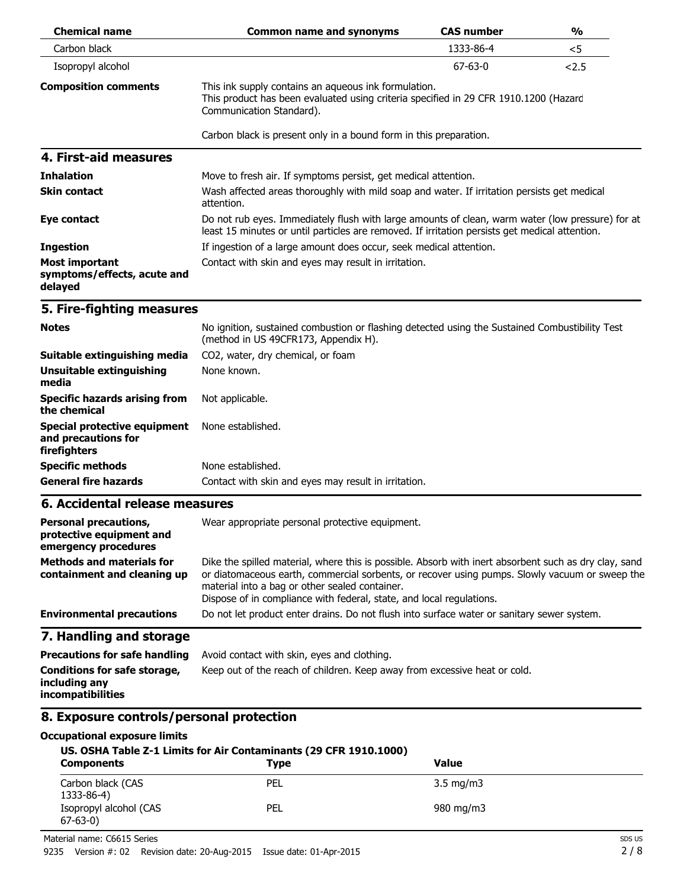| <b>Chemical name</b>                                                             | <b>Common name and synonyms</b>                                                                                                                                                                                                                                                                                                   | <b>CAS number</b> | $\frac{0}{0}$ |  |  |
|----------------------------------------------------------------------------------|-----------------------------------------------------------------------------------------------------------------------------------------------------------------------------------------------------------------------------------------------------------------------------------------------------------------------------------|-------------------|---------------|--|--|
| Carbon black                                                                     |                                                                                                                                                                                                                                                                                                                                   | 1333-86-4         | $<$ 5         |  |  |
| Isopropyl alcohol                                                                |                                                                                                                                                                                                                                                                                                                                   | $67 - 63 - 0$     | 2.5           |  |  |
| <b>Composition comments</b>                                                      | This ink supply contains an aqueous ink formulation.<br>This product has been evaluated using criteria specified in 29 CFR 1910.1200 (Hazard<br>Communication Standard).                                                                                                                                                          |                   |               |  |  |
|                                                                                  | Carbon black is present only in a bound form in this preparation.                                                                                                                                                                                                                                                                 |                   |               |  |  |
| 4. First-aid measures                                                            |                                                                                                                                                                                                                                                                                                                                   |                   |               |  |  |
| <b>Inhalation</b>                                                                | Move to fresh air. If symptoms persist, get medical attention.                                                                                                                                                                                                                                                                    |                   |               |  |  |
| <b>Skin contact</b>                                                              | Wash affected areas thoroughly with mild soap and water. If irritation persists get medical<br>attention.                                                                                                                                                                                                                         |                   |               |  |  |
| Eye contact                                                                      | Do not rub eyes. Immediately flush with large amounts of clean, warm water (low pressure) for at<br>least 15 minutes or until particles are removed. If irritation persists get medical attention.                                                                                                                                |                   |               |  |  |
| <b>Ingestion</b>                                                                 | If ingestion of a large amount does occur, seek medical attention.                                                                                                                                                                                                                                                                |                   |               |  |  |
| <b>Most important</b><br>symptoms/effects, acute and<br>delayed                  | Contact with skin and eyes may result in irritation.                                                                                                                                                                                                                                                                              |                   |               |  |  |
| 5. Fire-fighting measures                                                        |                                                                                                                                                                                                                                                                                                                                   |                   |               |  |  |
| <b>Notes</b>                                                                     | No ignition, sustained combustion or flashing detected using the Sustained Combustibility Test<br>(method in US 49CFR173, Appendix H).                                                                                                                                                                                            |                   |               |  |  |
| Suitable extinguishing media                                                     | CO2, water, dry chemical, or foam                                                                                                                                                                                                                                                                                                 |                   |               |  |  |
| <b>Unsuitable extinguishing</b><br>media                                         | None known.                                                                                                                                                                                                                                                                                                                       |                   |               |  |  |
| <b>Specific hazards arising from</b><br>the chemical                             | Not applicable.                                                                                                                                                                                                                                                                                                                   |                   |               |  |  |
| <b>Special protective equipment</b><br>and precautions for<br>firefighters       | None established.                                                                                                                                                                                                                                                                                                                 |                   |               |  |  |
| <b>Specific methods</b>                                                          | None established.                                                                                                                                                                                                                                                                                                                 |                   |               |  |  |
| <b>General fire hazards</b>                                                      | Contact with skin and eyes may result in irritation.                                                                                                                                                                                                                                                                              |                   |               |  |  |
| 6. Accidental release measures                                                   |                                                                                                                                                                                                                                                                                                                                   |                   |               |  |  |
| <b>Personal precautions,</b><br>protective equipment and<br>emergency procedures | Wear appropriate personal protective equipment.                                                                                                                                                                                                                                                                                   |                   |               |  |  |
| <b>Methods and materials for</b><br>containment and cleaning up                  | Dike the spilled material, where this is possible. Absorb with inert absorbent such as dry clay, sand<br>or diatomaceous earth, commercial sorbents, or recover using pumps. Slowly vacuum or sweep the<br>material into a bag or other sealed container.<br>Dispose of in compliance with federal, state, and local regulations. |                   |               |  |  |
| <b>Environmental precautions</b>                                                 | Do not let product enter drains. Do not flush into surface water or sanitary sewer system.                                                                                                                                                                                                                                        |                   |               |  |  |
| 7. Handling and storage                                                          |                                                                                                                                                                                                                                                                                                                                   |                   |               |  |  |
| <b>Precautions for safe handling</b>                                             | Avoid contact with skin, eyes and clothing.                                                                                                                                                                                                                                                                                       |                   |               |  |  |
| Conditions for safe storage,<br>including any<br>incompatibilities               | Keep out of the reach of children. Keep away from excessive heat or cold.                                                                                                                                                                                                                                                         |                   |               |  |  |
| 8. Exposure controls/personal protection                                         |                                                                                                                                                                                                                                                                                                                                   |                   |               |  |  |
| <b>Occupational exposure limits</b>                                              | US. OSHA Table Z-1 Limits for Air Contaminants (29 CFR 1910.1000)                                                                                                                                                                                                                                                                 |                   |               |  |  |

| <b>Components</b>                       | 03. 0311A Table 2-1 Lillius IVI All Containinants (29 CLK 1910.1000)<br><b>Type</b> | Value              |  |
|-----------------------------------------|-------------------------------------------------------------------------------------|--------------------|--|
| Carbon black (CAS<br>1333-86-4)         | PEL                                                                                 | $3.5 \text{ mg/m}$ |  |
| Isopropyl alcohol (CAS<br>$67 - 63 - 0$ | PEL                                                                                 | 980 mg/m3          |  |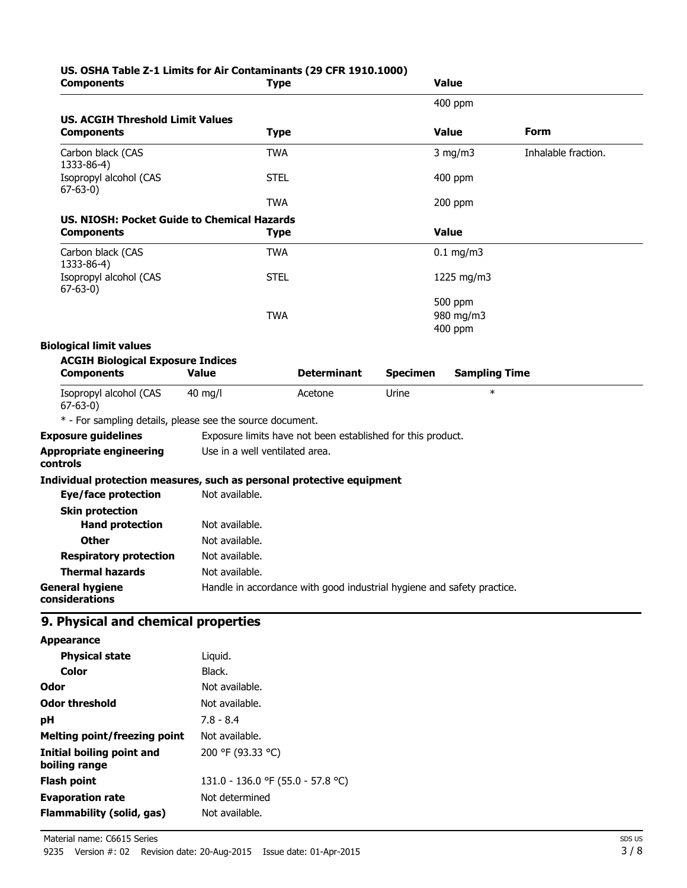# **US. OSHA Table Z-1 Limits for Air Contaminants (29 CFR 1910.1000)**

| <b>Components</b>                                                     | Type                                                                   |                    |                 | <b>Value</b>         |                     |
|-----------------------------------------------------------------------|------------------------------------------------------------------------|--------------------|-----------------|----------------------|---------------------|
|                                                                       |                                                                        |                    |                 | 400 ppm              |                     |
| <b>US. ACGIH Threshold Limit Values</b>                               |                                                                        |                    |                 |                      |                     |
| <b>Components</b>                                                     | <b>Type</b>                                                            |                    |                 | <b>Value</b>         | Form                |
| Carbon black (CAS<br>1333-86-4)                                       | <b>TWA</b>                                                             |                    |                 | $3$ mg/m $3$         | Inhalable fraction. |
| Isopropyl alcohol (CAS<br>$67 - 63 - 0$                               | <b>STEL</b>                                                            |                    |                 | 400 ppm              |                     |
|                                                                       | <b>TWA</b>                                                             |                    |                 | 200 ppm              |                     |
| US. NIOSH: Pocket Guide to Chemical Hazards                           |                                                                        |                    |                 |                      |                     |
| <b>Components</b>                                                     | <b>Type</b>                                                            |                    |                 | <b>Value</b>         |                     |
| Carbon black (CAS<br>1333-86-4)                                       | <b>TWA</b>                                                             |                    |                 | $0.1$ mg/m3          |                     |
| Isopropyl alcohol (CAS<br>$67 - 63 - 0$                               | <b>STEL</b>                                                            |                    |                 | 1225 mg/m3           |                     |
|                                                                       |                                                                        |                    |                 | 500 ppm              |                     |
|                                                                       | <b>TWA</b>                                                             |                    |                 | 980 mg/m3            |                     |
|                                                                       |                                                                        |                    |                 | 400 ppm              |                     |
| <b>Biological limit values</b>                                        |                                                                        |                    |                 |                      |                     |
| <b>ACGIH Biological Exposure Indices</b><br><b>Components</b>         | <b>Value</b>                                                           | <b>Determinant</b> | <b>Specimen</b> | <b>Sampling Time</b> |                     |
|                                                                       |                                                                        |                    |                 | $\ast$               |                     |
| Isopropyl alcohol (CAS<br>$67 - 63 - 0$                               | $40 \text{ mg/l}$                                                      | Acetone            | Urine           |                      |                     |
| * - For sampling details, please see the source document.             |                                                                        |                    |                 |                      |                     |
| <b>Exposure guidelines</b>                                            | Exposure limits have not been established for this product.            |                    |                 |                      |                     |
| <b>Appropriate engineering</b><br>controls                            | Use in a well ventilated area.                                         |                    |                 |                      |                     |
| Individual protection measures, such as personal protective equipment |                                                                        |                    |                 |                      |                     |
| <b>Eye/face protection</b>                                            | Not available.                                                         |                    |                 |                      |                     |
| <b>Skin protection</b>                                                |                                                                        |                    |                 |                      |                     |
| <b>Hand protection</b>                                                | Not available.                                                         |                    |                 |                      |                     |
| <b>Other</b>                                                          | Not available.                                                         |                    |                 |                      |                     |
| <b>Respiratory protection</b>                                         | Not available.                                                         |                    |                 |                      |                     |
| <b>Thermal hazards</b>                                                | Not available.                                                         |                    |                 |                      |                     |
| <b>General hygiene</b><br>considerations                              | Handle in accordance with good industrial hygiene and safety practice. |                    |                 |                      |                     |
| 9. Physical and chemical properties                                   |                                                                        |                    |                 |                      |                     |
| <b>Appearance</b>                                                     |                                                                        |                    |                 |                      |                     |
| <b>Physical state</b>                                                 | Liquid.                                                                |                    |                 |                      |                     |
| <b>Color</b>                                                          | Black.                                                                 |                    |                 |                      |                     |
| Odor                                                                  | Not available.                                                         |                    |                 |                      |                     |
| <b>Odor threshold</b>                                                 | Not available.                                                         |                    |                 |                      |                     |
| pH                                                                    | $7.8 - 8.4$                                                            |                    |                 |                      |                     |
| <b>Melting point/freezing point</b>                                   | Not available.                                                         |                    |                 |                      |                     |
| <b>Initial boiling point and</b><br>boiling range                     | 200 °F (93.33 °C)                                                      |                    |                 |                      |                     |
| <b>Flash point</b>                                                    | 131.0 - 136.0 °F (55.0 - 57.8 °C)                                      |                    |                 |                      |                     |
| <b>Evaporation rate</b>                                               | Not determined                                                         |                    |                 |                      |                     |
| <b>Flammability (solid, gas)</b>                                      | Not available.                                                         |                    |                 |                      |                     |
|                                                                       |                                                                        |                    |                 |                      |                     |

Material name: C6615 Series 9235 Version #: 02 Revision date: 20-Aug-2015 Issue date: 01-Apr-2015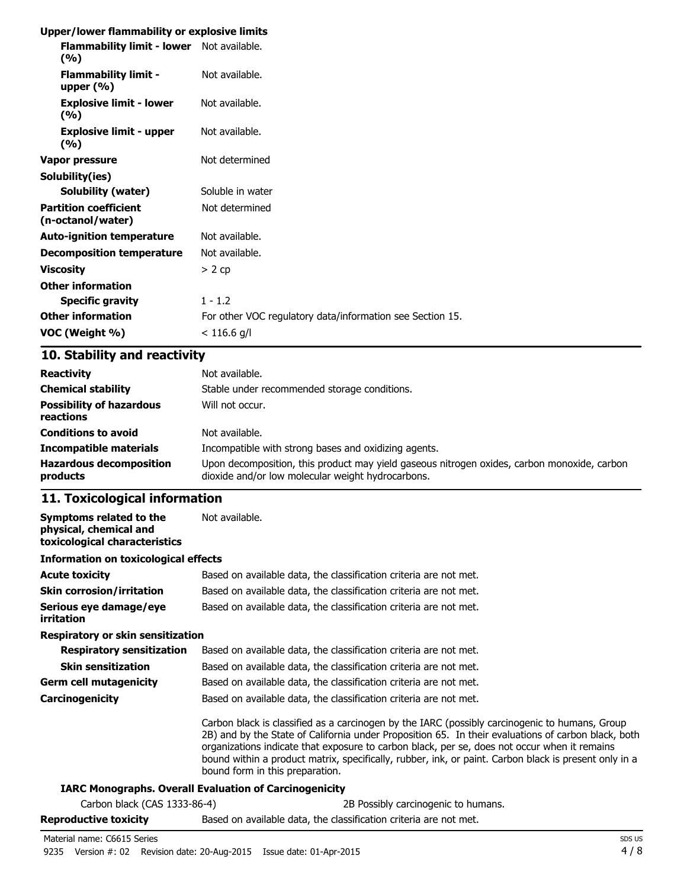#### **Upper/lower flammability or explosive limits**

| Flammability limit - lower Not available.<br>(9/6) |                                                           |
|----------------------------------------------------|-----------------------------------------------------------|
| <b>Flammability limit -</b><br>upper $(\% )$       | Not available.                                            |
| <b>Explosive limit - lower</b><br>(%)              | Not available.                                            |
| <b>Explosive limit - upper</b><br>(%)              | Not available.                                            |
| Vapor pressure                                     | Not determined                                            |
| Solubility(ies)                                    |                                                           |
| <b>Solubility (water)</b>                          | Soluble in water                                          |
| <b>Partition coefficient</b><br>(n-octanol/water)  | Not determined                                            |
| <b>Auto-ignition temperature</b>                   | Not available.                                            |
| <b>Decomposition temperature</b>                   | Not available.                                            |
| <b>Viscosity</b>                                   | $> 2$ cp                                                  |
| <b>Other information</b>                           |                                                           |
| <b>Specific gravity</b>                            | $1 - 1.2$                                                 |
| <b>Other information</b>                           | For other VOC regulatory data/information see Section 15. |
| VOC (Weight %)                                     | $< 116.6$ g/l                                             |
|                                                    |                                                           |

## **10. Stability and reactivity**

| <b>Reactivity</b><br><b>Chemical stability</b><br><b>Possibility of hazardous</b><br>reactions | Not available.<br>Stable under recommended storage conditions.<br>Will not occur.           |
|------------------------------------------------------------------------------------------------|---------------------------------------------------------------------------------------------|
| <b>Conditions to avoid</b>                                                                     | Not available.                                                                              |
| <b>Incompatible materials</b>                                                                  | Incompatible with strong bases and oxidizing agents.                                        |
| <b>Hazardous decomposition</b>                                                                 | Upon decomposition, this product may yield gaseous nitrogen oxides, carbon monoxide, carbon |
| products                                                                                       | dioxide and/or low molecular weight hydrocarbons.                                           |

### **11. Toxicological information**

| Symptoms related to the<br>physical, chemical and<br>toxicological characteristics | Not available.                                                                                                                                                                                                                                                                                                                                                                                                                                    |  |  |  |  |
|------------------------------------------------------------------------------------|---------------------------------------------------------------------------------------------------------------------------------------------------------------------------------------------------------------------------------------------------------------------------------------------------------------------------------------------------------------------------------------------------------------------------------------------------|--|--|--|--|
| <b>Information on toxicological effects</b>                                        |                                                                                                                                                                                                                                                                                                                                                                                                                                                   |  |  |  |  |
| <b>Acute toxicity</b>                                                              | Based on available data, the classification criteria are not met.                                                                                                                                                                                                                                                                                                                                                                                 |  |  |  |  |
| <b>Skin corrosion/irritation</b>                                                   | Based on available data, the classification criteria are not met.                                                                                                                                                                                                                                                                                                                                                                                 |  |  |  |  |
| Serious eye damage/eye<br><i>irritation</i>                                        | Based on available data, the classification criteria are not met.                                                                                                                                                                                                                                                                                                                                                                                 |  |  |  |  |
| Respiratory or skin sensitization                                                  |                                                                                                                                                                                                                                                                                                                                                                                                                                                   |  |  |  |  |
| <b>Respiratory sensitization</b>                                                   | Based on available data, the classification criteria are not met.                                                                                                                                                                                                                                                                                                                                                                                 |  |  |  |  |
| <b>Skin sensitization</b>                                                          | Based on available data, the classification criteria are not met.                                                                                                                                                                                                                                                                                                                                                                                 |  |  |  |  |
| <b>Germ cell mutagenicity</b>                                                      | Based on available data, the classification criteria are not met.                                                                                                                                                                                                                                                                                                                                                                                 |  |  |  |  |
| <b>Carcinogenicity</b>                                                             | Based on available data, the classification criteria are not met.                                                                                                                                                                                                                                                                                                                                                                                 |  |  |  |  |
|                                                                                    | Carbon black is classified as a carcinogen by the IARC (possibly carcinogenic to humans, Group<br>2B) and by the State of California under Proposition 65. In their evaluations of carbon black, both<br>organizations indicate that exposure to carbon black, per se, does not occur when it remains<br>bound within a product matrix, specifically, rubber, ink, or paint. Carbon black is present only in a<br>bound form in this preparation. |  |  |  |  |
|                                                                                    | <b>IARC Monographs. Overall Evaluation of Carcinogenicity</b>                                                                                                                                                                                                                                                                                                                                                                                     |  |  |  |  |
| Carbon black (CAS 1333-86-4)                                                       | 2B Possibly carcinogenic to humans.                                                                                                                                                                                                                                                                                                                                                                                                               |  |  |  |  |
|                                                                                    | the state of the contract of the contract of the contract of the contract of the contract of the contract of the contract of the contract of the contract of the contract of the contract of the contract of the contract of t                                                                                                                                                                                                                    |  |  |  |  |

## **Reproductive toxicity** Based on available data, the classification criteria are not met.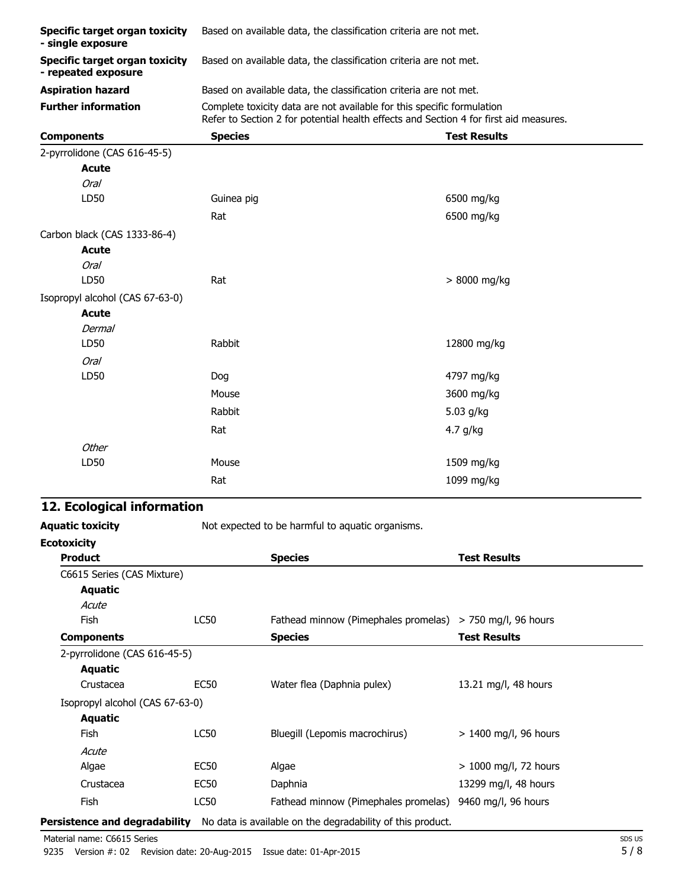| Specific target organ toxicity<br>- single exposure          | Based on available data, the classification criteria are not met.                                                                                               |                                                                   |  |  |  |  |
|--------------------------------------------------------------|-----------------------------------------------------------------------------------------------------------------------------------------------------------------|-------------------------------------------------------------------|--|--|--|--|
| <b>Specific target organ toxicity</b><br>- repeated exposure | Based on available data, the classification criteria are not met.                                                                                               |                                                                   |  |  |  |  |
| <b>Aspiration hazard</b>                                     |                                                                                                                                                                 | Based on available data, the classification criteria are not met. |  |  |  |  |
| <b>Further information</b>                                   | Complete toxicity data are not available for this specific formulation<br>Refer to Section 2 for potential health effects and Section 4 for first aid measures. |                                                                   |  |  |  |  |
| <b>Components</b>                                            | <b>Species</b>                                                                                                                                                  | <b>Test Results</b>                                               |  |  |  |  |
| 2-pyrrolidone (CAS 616-45-5)                                 |                                                                                                                                                                 |                                                                   |  |  |  |  |
| <b>Acute</b>                                                 |                                                                                                                                                                 |                                                                   |  |  |  |  |
| <b>Oral</b>                                                  |                                                                                                                                                                 |                                                                   |  |  |  |  |
| LD50                                                         | Guinea pig                                                                                                                                                      | 6500 mg/kg                                                        |  |  |  |  |
|                                                              | Rat                                                                                                                                                             | 6500 mg/kg                                                        |  |  |  |  |
| Carbon black (CAS 1333-86-4)                                 |                                                                                                                                                                 |                                                                   |  |  |  |  |
| <b>Acute</b>                                                 |                                                                                                                                                                 |                                                                   |  |  |  |  |
| <b>Oral</b>                                                  |                                                                                                                                                                 |                                                                   |  |  |  |  |
| LD50                                                         | Rat                                                                                                                                                             | > 8000 mg/kg                                                      |  |  |  |  |
| Isopropyl alcohol (CAS 67-63-0)                              |                                                                                                                                                                 |                                                                   |  |  |  |  |
| <b>Acute</b>                                                 |                                                                                                                                                                 |                                                                   |  |  |  |  |
| <b>Dermal</b>                                                |                                                                                                                                                                 |                                                                   |  |  |  |  |
| LD50                                                         | Rabbit                                                                                                                                                          | 12800 mg/kg                                                       |  |  |  |  |
| <b>Oral</b>                                                  |                                                                                                                                                                 |                                                                   |  |  |  |  |
| LD50                                                         | Dog                                                                                                                                                             | 4797 mg/kg                                                        |  |  |  |  |
|                                                              | Mouse                                                                                                                                                           | 3600 mg/kg                                                        |  |  |  |  |
|                                                              | Rabbit                                                                                                                                                          | 5.03 g/kg                                                         |  |  |  |  |
|                                                              | Rat                                                                                                                                                             | 4.7 g/kg                                                          |  |  |  |  |
| Other                                                        |                                                                                                                                                                 |                                                                   |  |  |  |  |
| LD50                                                         | Mouse                                                                                                                                                           | 1509 mg/kg                                                        |  |  |  |  |
|                                                              | Rat                                                                                                                                                             | 1099 mg/kg                                                        |  |  |  |  |

## **12. Ecological information**

Aquatic toxicity **Aquatic toxicity** Not expected to be harmful to aquatic organisms.

| <b>Ecotoxicity</b>              |                  |                                                                                                 |                         |
|---------------------------------|------------------|-------------------------------------------------------------------------------------------------|-------------------------|
| <b>Product</b>                  |                  | <b>Species</b>                                                                                  | <b>Test Results</b>     |
| C6615 Series (CAS Mixture)      |                  |                                                                                                 |                         |
| Aquatic                         |                  |                                                                                                 |                         |
| Acute                           |                  |                                                                                                 |                         |
| <b>Fish</b>                     | <b>LC50</b>      | Fathead minnow (Pimephales promelas) > 750 mg/l, 96 hours                                       |                         |
| <b>Components</b>               |                  | <b>Species</b>                                                                                  | <b>Test Results</b>     |
| 2-pyrrolidone (CAS 616-45-5)    |                  |                                                                                                 |                         |
| Aquatic                         |                  |                                                                                                 |                         |
| Crustacea                       | <b>EC50</b>      | Water flea (Daphnia pulex)                                                                      | 13.21 mg/l, 48 hours    |
| Isopropyl alcohol (CAS 67-63-0) |                  |                                                                                                 |                         |
| <b>Aquatic</b>                  |                  |                                                                                                 |                         |
| Fish                            | LC50             | Bluegill (Lepomis macrochirus)                                                                  | > 1400 mg/l, 96 hours   |
| Acute                           |                  |                                                                                                 |                         |
| Algae                           | EC <sub>50</sub> | Algae                                                                                           | $> 1000$ mg/l, 72 hours |
| Crustacea                       | <b>EC50</b>      | Daphnia                                                                                         | 13299 mg/l, 48 hours    |
| <b>Fish</b>                     | <b>LC50</b>      | Fathead minnow (Pimephales promelas)                                                            | 9460 mg/l, 96 hours     |
|                                 |                  | <b>Persistence and degradability</b> No data is available on the degradability of this product. |                         |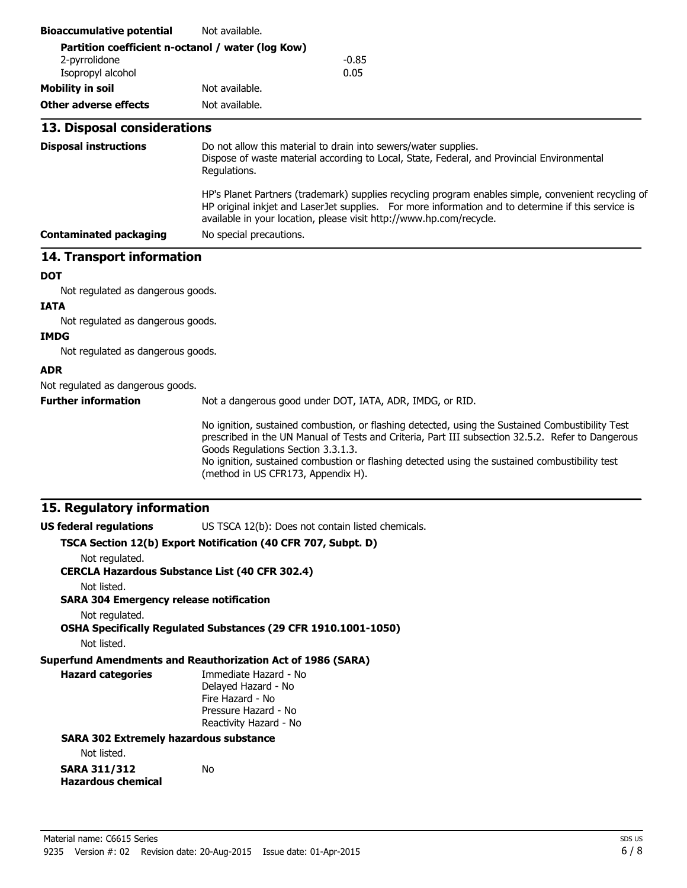| <b>Bioaccumulative potential</b>                              | Not available.                                                                                                                                                                                                                                                                                                                                                                      |  |  |  |
|---------------------------------------------------------------|-------------------------------------------------------------------------------------------------------------------------------------------------------------------------------------------------------------------------------------------------------------------------------------------------------------------------------------------------------------------------------------|--|--|--|
| Partition coefficient n-octanol / water (log Kow)             |                                                                                                                                                                                                                                                                                                                                                                                     |  |  |  |
| 2-pyrrolidone<br>Isopropyl alcohol                            | $-0.85$<br>0.05                                                                                                                                                                                                                                                                                                                                                                     |  |  |  |
| <b>Mobility in soil</b>                                       | Not available.                                                                                                                                                                                                                                                                                                                                                                      |  |  |  |
| <b>Other adverse effects</b>                                  | Not available.                                                                                                                                                                                                                                                                                                                                                                      |  |  |  |
|                                                               |                                                                                                                                                                                                                                                                                                                                                                                     |  |  |  |
| 13. Disposal considerations                                   |                                                                                                                                                                                                                                                                                                                                                                                     |  |  |  |
| <b>Disposal instructions</b>                                  | Do not allow this material to drain into sewers/water supplies.<br>Dispose of waste material according to Local, State, Federal, and Provincial Environmental<br>Regulations.                                                                                                                                                                                                       |  |  |  |
|                                                               | HP's Planet Partners (trademark) supplies recycling program enables simple, convenient recycling of<br>HP original inkjet and LaserJet supplies. For more information and to determine if this service is<br>available in your location, please visit http://www.hp.com/recycle.                                                                                                    |  |  |  |
| <b>Contaminated packaging</b>                                 | No special precautions.                                                                                                                                                                                                                                                                                                                                                             |  |  |  |
| 14. Transport information                                     |                                                                                                                                                                                                                                                                                                                                                                                     |  |  |  |
| <b>DOT</b>                                                    |                                                                                                                                                                                                                                                                                                                                                                                     |  |  |  |
| Not regulated as dangerous goods.                             |                                                                                                                                                                                                                                                                                                                                                                                     |  |  |  |
| <b>IATA</b>                                                   |                                                                                                                                                                                                                                                                                                                                                                                     |  |  |  |
| Not regulated as dangerous goods.                             |                                                                                                                                                                                                                                                                                                                                                                                     |  |  |  |
| <b>IMDG</b>                                                   |                                                                                                                                                                                                                                                                                                                                                                                     |  |  |  |
| Not regulated as dangerous goods.                             |                                                                                                                                                                                                                                                                                                                                                                                     |  |  |  |
| <b>ADR</b>                                                    |                                                                                                                                                                                                                                                                                                                                                                                     |  |  |  |
| Not regulated as dangerous goods.                             |                                                                                                                                                                                                                                                                                                                                                                                     |  |  |  |
| <b>Further information</b>                                    | Not a dangerous good under DOT, IATA, ADR, IMDG, or RID.                                                                                                                                                                                                                                                                                                                            |  |  |  |
|                                                               | No ignition, sustained combustion, or flashing detected, using the Sustained Combustibility Test<br>prescribed in the UN Manual of Tests and Criteria, Part III subsection 32.5.2. Refer to Dangerous<br>Goods Regulations Section 3.3.1.3.<br>No ignition, sustained combustion or flashing detected using the sustained combustibility test<br>(method in US CFR173, Appendix H). |  |  |  |
| 15. Regulatory information                                    |                                                                                                                                                                                                                                                                                                                                                                                     |  |  |  |
| <b>US federal regulations</b>                                 | US TSCA 12(b): Does not contain listed chemicals.                                                                                                                                                                                                                                                                                                                                   |  |  |  |
|                                                               | TSCA Section 12(b) Export Notification (40 CFR 707, Subpt. D)                                                                                                                                                                                                                                                                                                                       |  |  |  |
| Not regulated.                                                | <b>CERCLA Hazardous Substance List (40 CFR 302.4)</b>                                                                                                                                                                                                                                                                                                                               |  |  |  |
| Not listed.<br><b>SARA 304 Emergency release notification</b> |                                                                                                                                                                                                                                                                                                                                                                                     |  |  |  |
| Not regulated.                                                | OSHA Specifically Regulated Substances (29 CFR 1910.1001-1050)                                                                                                                                                                                                                                                                                                                      |  |  |  |
| Not listed.                                                   |                                                                                                                                                                                                                                                                                                                                                                                     |  |  |  |
| <b>Hazard categories</b>                                      | <b>Superfund Amendments and Reauthorization Act of 1986 (SARA)</b><br>Immediate Hazard - No<br>Delayed Hazard - No<br>Fire Hazard - No<br>Pressure Hazard - No<br>Reactivity Hazard - No                                                                                                                                                                                            |  |  |  |
| <b>SARA 302 Extremely hazardous substance</b>                 |                                                                                                                                                                                                                                                                                                                                                                                     |  |  |  |
| Not listed.                                                   |                                                                                                                                                                                                                                                                                                                                                                                     |  |  |  |
| <b>SARA 311/312</b><br><b>Hazardous chemical</b>              | No                                                                                                                                                                                                                                                                                                                                                                                  |  |  |  |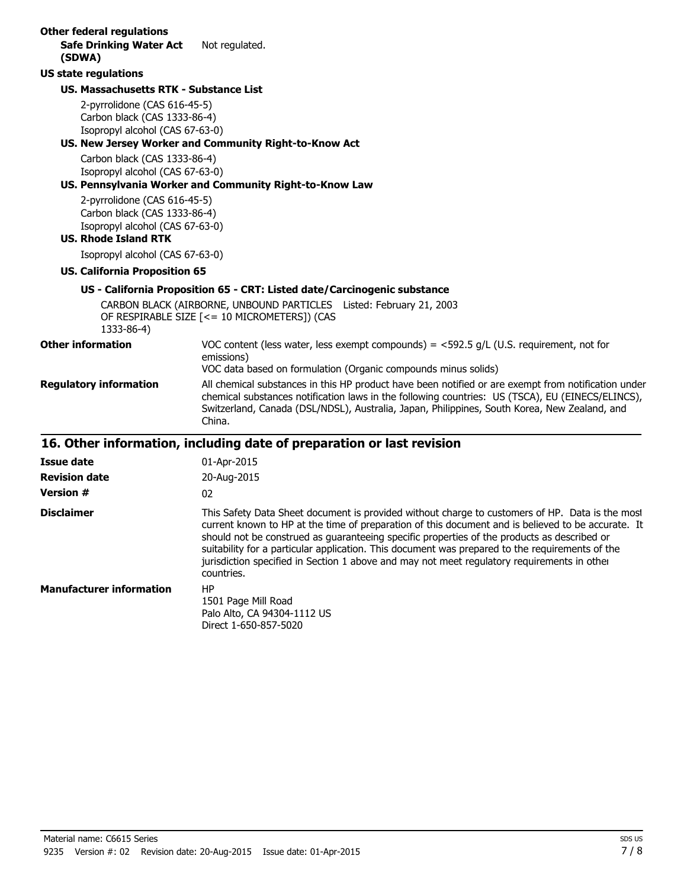| <b>Other federal regulations</b><br><b>Safe Drinking Water Act</b>                                                             | Not regulated.                                                                                                                                                                                                                                                                                                                                                                                                                                                                                                       |  |
|--------------------------------------------------------------------------------------------------------------------------------|----------------------------------------------------------------------------------------------------------------------------------------------------------------------------------------------------------------------------------------------------------------------------------------------------------------------------------------------------------------------------------------------------------------------------------------------------------------------------------------------------------------------|--|
| (SDWA)                                                                                                                         |                                                                                                                                                                                                                                                                                                                                                                                                                                                                                                                      |  |
| <b>US state regulations</b>                                                                                                    |                                                                                                                                                                                                                                                                                                                                                                                                                                                                                                                      |  |
| <b>US. Massachusetts RTK - Substance List</b>                                                                                  |                                                                                                                                                                                                                                                                                                                                                                                                                                                                                                                      |  |
| 2-pyrrolidone (CAS 616-45-5)<br>Carbon black (CAS 1333-86-4)<br>Isopropyl alcohol (CAS 67-63-0)                                |                                                                                                                                                                                                                                                                                                                                                                                                                                                                                                                      |  |
|                                                                                                                                | US. New Jersey Worker and Community Right-to-Know Act                                                                                                                                                                                                                                                                                                                                                                                                                                                                |  |
| Carbon black (CAS 1333-86-4)<br>Isopropyl alcohol (CAS 67-63-0)                                                                | US. Pennsylvania Worker and Community Right-to-Know Law                                                                                                                                                                                                                                                                                                                                                                                                                                                              |  |
| 2-pyrrolidone (CAS 616-45-5)<br>Carbon black (CAS 1333-86-4)<br>Isopropyl alcohol (CAS 67-63-0)<br><b>US. Rhode Island RTK</b> |                                                                                                                                                                                                                                                                                                                                                                                                                                                                                                                      |  |
| Isopropyl alcohol (CAS 67-63-0)                                                                                                |                                                                                                                                                                                                                                                                                                                                                                                                                                                                                                                      |  |
| <b>US. California Proposition 65</b>                                                                                           |                                                                                                                                                                                                                                                                                                                                                                                                                                                                                                                      |  |
|                                                                                                                                | US - California Proposition 65 - CRT: Listed date/Carcinogenic substance                                                                                                                                                                                                                                                                                                                                                                                                                                             |  |
| 1333-86-4)                                                                                                                     | CARBON BLACK (AIRBORNE, UNBOUND PARTICLES Listed: February 21, 2003<br>OF RESPIRABLE SIZE [<= 10 MICROMETERS]) (CAS                                                                                                                                                                                                                                                                                                                                                                                                  |  |
| <b>Other information</b>                                                                                                       | VOC content (less water, less exempt compounds) = $<$ 592.5 g/L (U.S. requirement, not for<br>emissions)<br>VOC data based on formulation (Organic compounds minus solids)                                                                                                                                                                                                                                                                                                                                           |  |
| <b>Regulatory information</b>                                                                                                  | All chemical substances in this HP product have been notified or are exempt from notification under<br>chemical substances notification laws in the following countries: US (TSCA), EU (EINECS/ELINCS),<br>Switzerland, Canada (DSL/NDSL), Australia, Japan, Philippines, South Korea, New Zealand, and<br>China.                                                                                                                                                                                                    |  |
|                                                                                                                                | 16. Other information, including date of preparation or last revision                                                                                                                                                                                                                                                                                                                                                                                                                                                |  |
| <b>Issue date</b>                                                                                                              | 01-Apr-2015                                                                                                                                                                                                                                                                                                                                                                                                                                                                                                          |  |
| <b>Revision date</b>                                                                                                           | 20-Aug-2015                                                                                                                                                                                                                                                                                                                                                                                                                                                                                                          |  |
| <b>Version #</b>                                                                                                               | 02                                                                                                                                                                                                                                                                                                                                                                                                                                                                                                                   |  |
| <b>Disclaimer</b>                                                                                                              | This Safety Data Sheet document is provided without charge to customers of HP. Data is the most<br>current known to HP at the time of preparation of this document and is believed to be accurate. It<br>should not be construed as guaranteeing specific properties of the products as described or<br>suitability for a particular application. This document was prepared to the requirements of the<br>jurisdiction specified in Section 1 above and may not meet regulatory requirements in other<br>countries. |  |
| <b>Manufacturer information</b>                                                                                                | <b>HP</b><br>1501 Page Mill Road<br>Palo Alto, CA 94304-1112 US                                                                                                                                                                                                                                                                                                                                                                                                                                                      |  |

Direct 1-650-857-5020